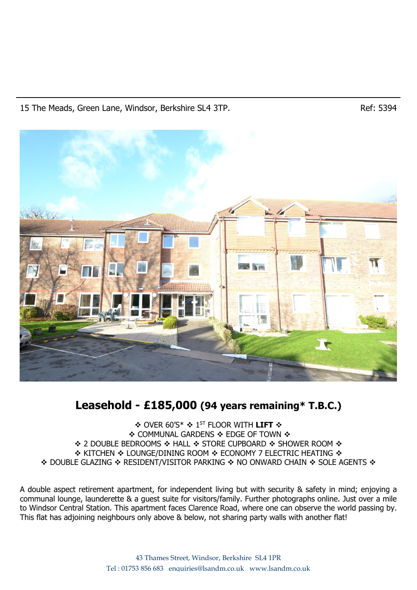## 15 The Meads, Green Lane, Windsor, Berkshire SL4 3TP. The Meads, Green Lane, Windsor, Berkshire SL4 3TP.



# **Leasehold - £185,000 (94 years remaining\* T.B.C.)**

❖ OVER 60'S\* ❖ 1 ST FLOOR WITH **LIFT** ❖ ❖ COMMUNAL GARDENS ❖ EDGE OF TOWN ❖ ❖ 2 DOUBLE BEDROOMS ❖ HALL ❖ STORE CUPBOARD ❖ SHOWER ROOM ❖ ❖ KITCHEN ❖ LOUNGE/DINING ROOM ❖ ECONOMY 7 ELECTRIC HEATING ❖ ❖ DOUBLE GLAZING ❖ RESIDENT/VISITOR PARKING ❖ NO ONWARD CHAIN ❖ SOLE AGENTS ❖

A double aspect retirement apartment, for independent living but with security & safety in mind; enjoying a communal lounge, launderette & a guest suite for visitors/family. Further photographs online. Just over a mile to Windsor Central Station. This apartment faces Clarence Road, where one can observe the world passing by. This flat has adjoining neighbours only above & below, not sharing party walls with another flat!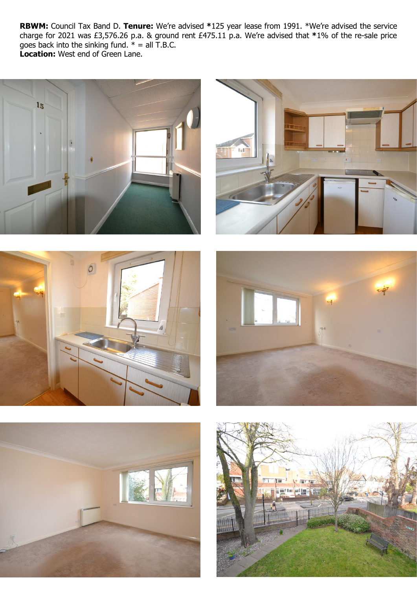**RBWM:** Council Tax Band D. **Tenure:** We're advised **\***125 year lease from 1991. \*We're advised the service charge for 2021 was £3,576.26 p.a. & ground rent £475.11 p.a. We're advised that **\***1% of the re-sale price goes back into the sinking fund.  $* =$  all T.B.C. **Location:** West end of Green Lane.











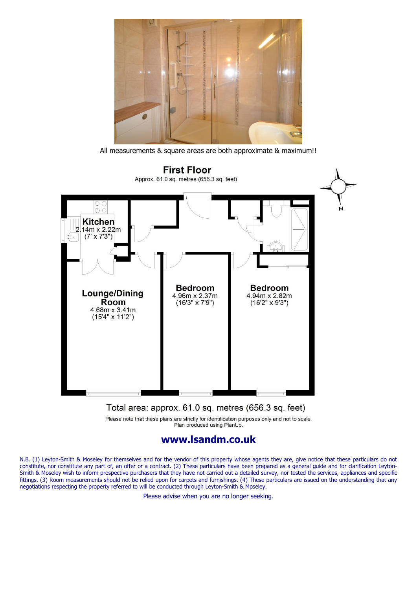

All measurements & square areas are both approximate & maximum!!



### Total area: approx. 61.0 sq. metres (656.3 sq. feet)

Please note that these plans are strictly for identification purposes only and not to scale. Plan produced using PlanUp.

# **www.lsandm.co.uk**

N.B. (1) Leyton-Smith & Moseley for themselves and for the vendor of this property whose agents they are, give notice that these particulars do not constitute, nor constitute any part of, an offer or a contract. (2) These particulars have been prepared as a general guide and for clarification Leyton-Smith & Moseley wish to inform prospective purchasers that they have not carried out a detailed survey, nor tested the services, appliances and specific fittings. (3) Room measurements should not be relied upon for carpets and furnishings. (4) These particulars are issued on the understanding that any negotiations respecting the property referred to will be conducted through Leyton-Smith & Moseley.

Please advise when you are no longer seeking.